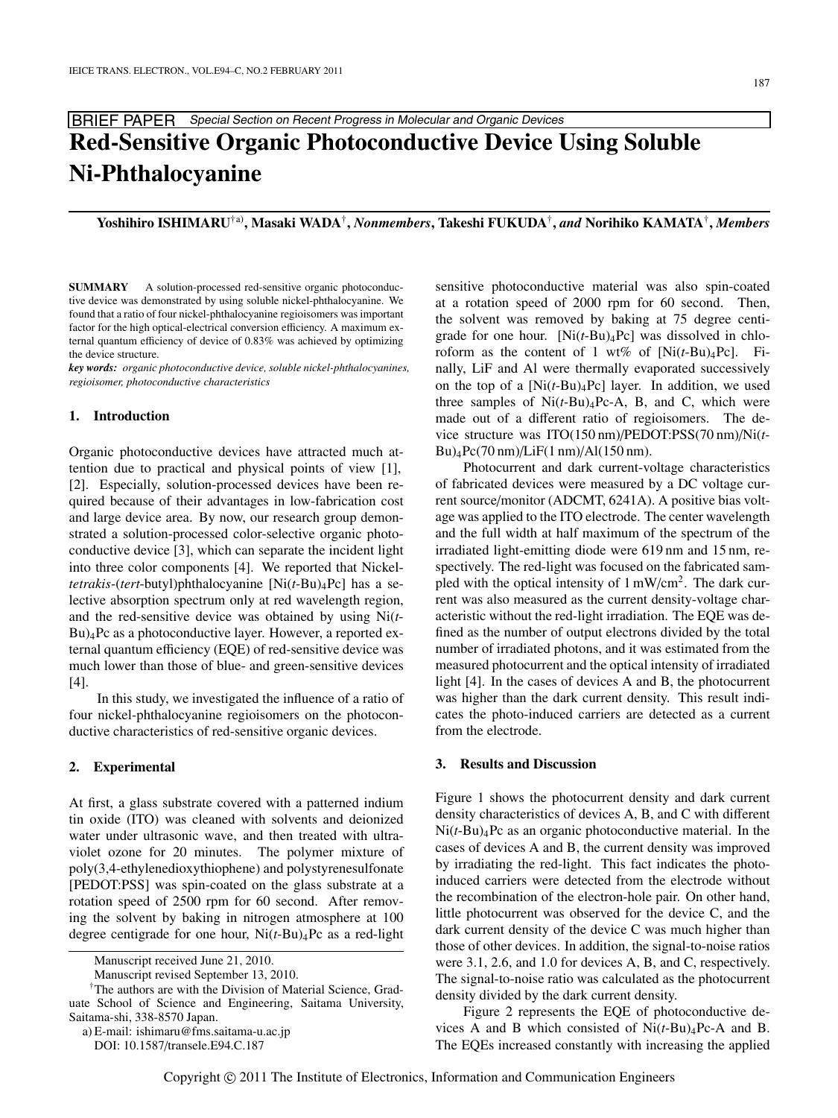BRIEF PAPER Special Section on Recent Progress in Molecular and Organic Devices

# **Red-Sensitive Organic Photoconductive Device Using Soluble Ni-Phthalocyanine**

**Yoshihiro ISHIMARU**†a)**, Masaki WADA**†**,** *Nonmembers***, Takeshi FUKUDA**†**,** *and* **Norihiko KAMATA**†**,** *Members*

**SUMMARY** A solution-processed red-sensitive organic photoconductive device was demonstrated by using soluble nickel-phthalocyanine. We found that a ratio of four nickel-phthalocyanine regioisomers was important factor for the high optical-electrical conversion efficiency. A maximum external quantum efficiency of device of 0.83% was achieved by optimizing the device structure.

*key words: organic photoconductive device, soluble nickel-phthalocyanines, regioisomer, photoconductive characteristics*

#### **1. Introduction**

Organic photoconductive devices have attracted much attention due to practical and physical points of view [1], [2]. Especially, solution-processed devices have been required because of their advantages in low-fabrication cost and large device area. By now, our research group demonstrated a solution-processed color-selective organic photoconductive device [3], which can separate the incident light into three color components [4]. We reported that Nickel*tetrakis*-(*tert*-butyl)phthalocyanine [Ni(*t*-Bu)4Pc] has a selective absorption spectrum only at red wavelength region, and the red-sensitive device was obtained by using Ni(*t*-Bu)4Pc as a photoconductive layer. However, a reported external quantum efficiency (EQE) of red-sensitive device was much lower than those of blue- and green-sensitive devices [4].

In this study, we investigated the influence of a ratio of four nickel-phthalocyanine regioisomers on the photoconductive characteristics of red-sensitive organic devices.

### **2. Experimental**

At first, a glass substrate covered with a patterned indium tin oxide (ITO) was cleaned with solvents and deionized water under ultrasonic wave, and then treated with ultraviolet ozone for 20 minutes. The polymer mixture of poly(3,4-ethylenedioxythiophene) and polystyrenesulfonate [PEDOT:PSS] was spin-coated on the glass substrate at a rotation speed of 2500 rpm for 60 second. After removing the solvent by baking in nitrogen atmosphere at 100 degree centigrade for one hour, Ni(*t*-Bu)4Pc as a red-light

sensitive photoconductive material was also spin-coated at a rotation speed of 2000 rpm for 60 second. Then, the solvent was removed by baking at 75 degree centigrade for one hour. [Ni(*t*-Bu)4Pc] was dissolved in chloroform as the content of 1 wt% of  $[Ni(t-Bu)_4Pc]$ . Finally, LiF and Al were thermally evaporated successively on the top of a  $[Ni(t-Bu)_4Pc]$  layer. In addition, we used three samples of  $Ni(t-Bu)_{4}$ Pc-A, B, and C, which were made out of a different ratio of regioisomers. The device structure was ITO(150 nm)/PEDOT:PSS(70 nm)/Ni(*t*-Bu)4Pc(70 nm)/LiF(1 nm)/Al(150 nm).

Photocurrent and dark current-voltage characteristics of fabricated devices were measured by a DC voltage current source/monitor (ADCMT, 6241A). A positive bias voltage was applied to the ITO electrode. The center wavelength and the full width at half maximum of the spectrum of the irradiated light-emitting diode were 619 nm and 15 nm, respectively. The red-light was focused on the fabricated sampled with the optical intensity of  $1 \text{ mW/cm}^2$ . The dark current was also measured as the current density-voltage characteristic without the red-light irradiation. The EQE was defined as the number of output electrons divided by the total number of irradiated photons, and it was estimated from the measured photocurrent and the optical intensity of irradiated light [4]. In the cases of devices A and B, the photocurrent was higher than the dark current density. This result indicates the photo-induced carriers are detected as a current from the electrode.

#### **3. Results and Discussion**

Figure 1 shows the photocurrent density and dark current density characteristics of devices A, B, and C with different Ni(*t*-Bu)4Pc as an organic photoconductive material. In the cases of devices A and B, the current density was improved by irradiating the red-light. This fact indicates the photoinduced carriers were detected from the electrode without the recombination of the electron-hole pair. On other hand, little photocurrent was observed for the device C, and the dark current density of the device C was much higher than those of other devices. In addition, the signal-to-noise ratios were 3.1, 2.6, and 1.0 for devices A, B, and C, respectively. The signal-to-noise ratio was calculated as the photocurrent density divided by the dark current density.

Figure 2 represents the EQE of photoconductive devices A and B which consisted of Ni(*t*-Bu)4Pc-A and B. The EQEs increased constantly with increasing the applied

Manuscript received June 21, 2010.

Manuscript revised September 13, 2010.

<sup>†</sup>The authors are with the Division of Material Science, Graduate School of Science and Engineering, Saitama University, Saitama-shi, 338-8570 Japan.

a) E-mail: ishimaru@fms.saitama-u.ac.jp

DOI: 10.1587/transele.E94.C.187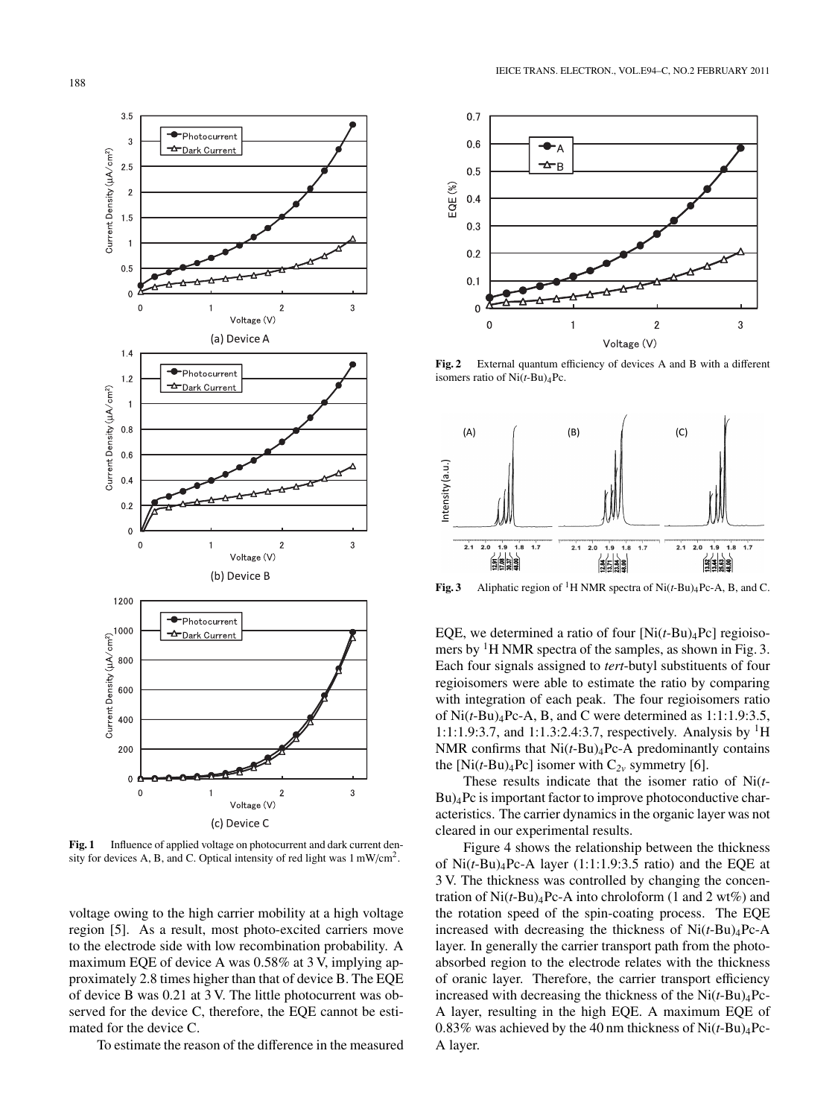

Fig. 1 Influence of applied voltage on photocurrent and dark current density for devices A, B, and C. Optical intensity of red light was 1 mW/cm2.

voltage owing to the high carrier mobility at a high voltage region [5]. As a result, most photo-excited carriers move to the electrode side with low recombination probability. A maximum EQE of device A was 0.58% at 3 V, implying approximately 2.8 times higher than that of device B. The EQE of device B was 0.21 at 3 V. The little photocurrent was observed for the device C, therefore, the EQE cannot be estimated for the device C.

To estimate the reason of the difference in the measured



**Fig. 2** External quantum efficiency of devices A and B with a different isomers ratio of Ni(*t*-Bu)4Pc.



**Fig. 3** Aliphatic region of <sup>1</sup>H NMR spectra of Ni( $t$ -Bu)<sub>4</sub>Pc-A, B, and C.

EQE, we determined a ratio of four  $[Ni(t-Bu)_4Pc]$  regioisomers by  ${}^{1}$ H NMR spectra of the samples, as shown in Fig. 3. Each four signals assigned to *tert*-butyl substituents of four regioisomers were able to estimate the ratio by comparing with integration of each peak. The four regioisomers ratio of Ni(*t*-Bu)4Pc-A, B, and C were determined as 1:1:1.9:3.5, 1:1:1.9:3.7, and 1:1.3:2.4:3.7, respectively. Analysis by  ${}^{1}H$ NMR confirms that Ni(*t*-Bu)4Pc-A predominantly contains the  $[Ni(t-Bu)_4Pc]$  isomer with  $C_{2v}$  symmetry [6].

These results indicate that the isomer ratio of Ni(*t*-Bu)4Pc is important factor to improve photoconductive characteristics. The carrier dynamics in the organic layer was not cleared in our experimental results.

Figure 4 shows the relationship between the thickness of Ni(*t*-Bu)4Pc-A layer (1:1:1.9:3.5 ratio) and the EQE at 3 V. The thickness was controlled by changing the concentration of  $Ni(t-Bu)_{4}Pc-A$  into chroloform (1 and 2 wt%) and the rotation speed of the spin-coating process. The EQE increased with decreasing the thickness of  $Ni(t-Bu)_{4}Pc-A$ layer. In generally the carrier transport path from the photoabsorbed region to the electrode relates with the thickness of oranic layer. Therefore, the carrier transport efficiency increased with decreasing the thickness of the  $Ni(t-Bu)_{4}Pc-$ A layer, resulting in the high EQE. A maximum EQE of 0.83% was achieved by the 40 nm thickness of  $Ni(t-Bu)_{4}Pc-$ A layer.